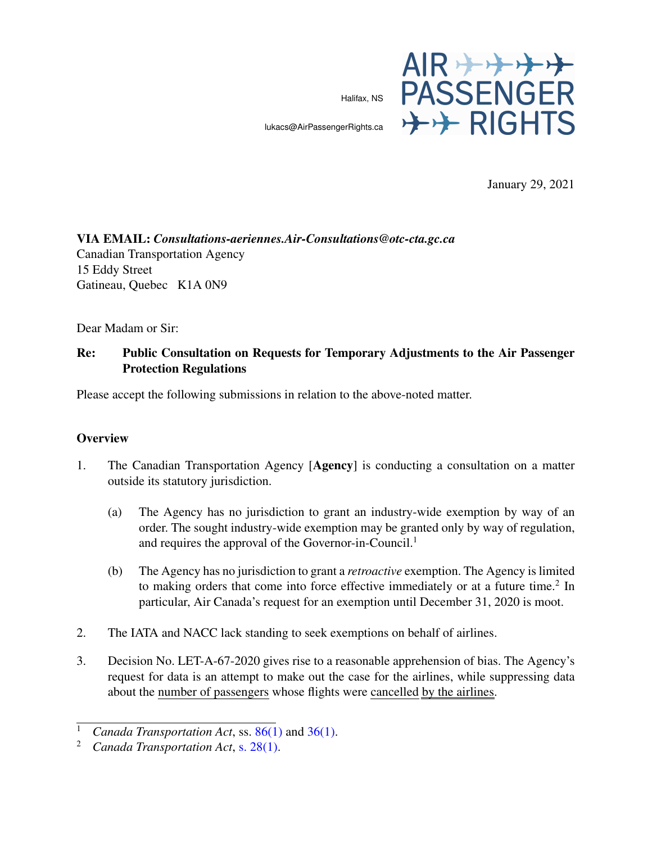Halifax, NS



lukacs@AirPassengerRights.ca

January 29, 2021

# VIA EMAIL: *Consultations-aeriennes.Air-Consultations@otc-cta.gc.ca* Canadian Transportation Agency 15 Eddy Street Gatineau, Quebec K1A 0N9

Dear Madam or Sir:

# Re: Public Consultation on Requests for Temporary Adjustments to the Air Passenger Protection Regulations

Please accept the following submissions in relation to the above-noted matter.

#### **Overview**

- 1. The Canadian Transportation Agency [Agency] is conducting a consultation on a matter outside its statutory jurisdiction.
	- (a) The Agency has no jurisdiction to grant an industry-wide exemption by way of an order. The sought industry-wide exemption may be granted only by way of regulation, and requires the approval of the Governor-in-Council.<sup>1</sup>
	- (b) The Agency has no jurisdiction to grant a *retroactive* exemption. The Agency is limited to making orders that come into force effective immediately or at a future time.<sup>2</sup> In particular, Air Canada's request for an exemption until December 31, 2020 is moot.
- 2. The IATA and NACC lack standing to seek exemptions on behalf of airlines.
- 3. Decision No. LET-A-67-2020 gives rise to a reasonable apprehension of bias. The Agency's request for data is an attempt to make out the case for the airlines, while suppressing data about the number of passengers whose flights were cancelled by the airlines.

<sup>&</sup>lt;sup>1</sup> *Canada Transportation Act*, ss. [86\(1\)](https://www.canlii.org/en/ca/laws/stat/sc-1996-c-10/latest/sc-1996-c-10.html#sec86) and [36\(1\).](https://www.canlii.org/en/ca/laws/stat/sc-1996-c-10/latest/sc-1996-c-10.html#sec36)<br><sup>2</sup> *Canada Transportation Act* s. 28(1)

<sup>2</sup> *Canada Transportation Act*, [s. 28\(1\).](https://www.canlii.org/en/ca/laws/stat/sc-1996-c-10/latest/sc-1996-c-10.html#sec28)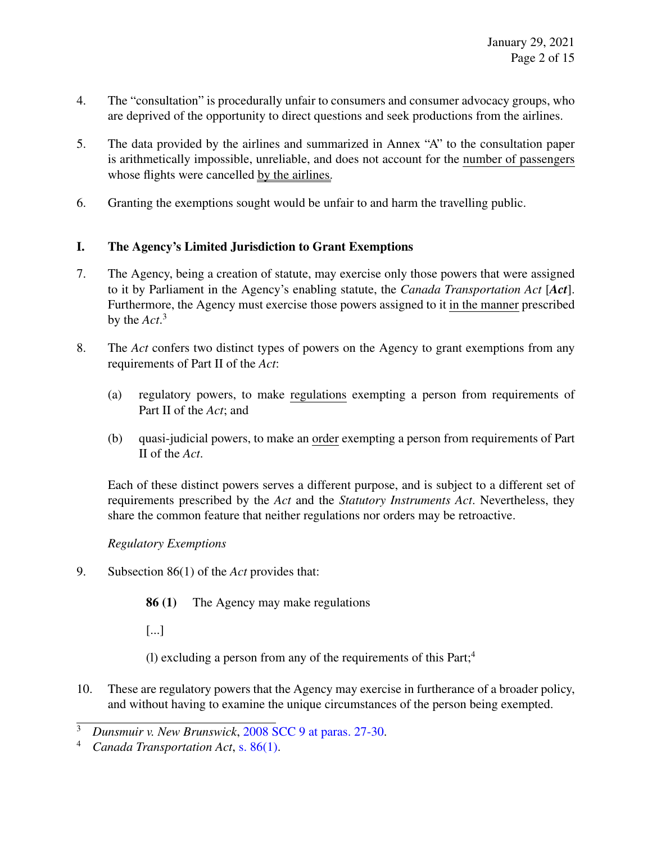- 4. The "consultation" is procedurally unfair to consumers and consumer advocacy groups, who are deprived of the opportunity to direct questions and seek productions from the airlines.
- 5. The data provided by the airlines and summarized in Annex "A" to the consultation paper is arithmetically impossible, unreliable, and does not account for the number of passengers whose flights were cancelled by the airlines.
- 6. Granting the exemptions sought would be unfair to and harm the travelling public.

# I. The Agency's Limited Jurisdiction to Grant Exemptions

- 7. The Agency, being a creation of statute, may exercise only those powers that were assigned to it by Parliament in the Agency's enabling statute, the *Canada Transportation Act* [*Act*]. Furthermore, the Agency must exercise those powers assigned to it in the manner prescribed by the *Act*. 3
- 8. The *Act* confers two distinct types of powers on the Agency to grant exemptions from any requirements of Part II of the *Act*:
	- (a) regulatory powers, to make regulations exempting a person from requirements of Part II of the *Act*; and
	- (b) quasi-judicial powers, to make an order exempting a person from requirements of Part II of the *Act*.

Each of these distinct powers serves a different purpose, and is subject to a different set of requirements prescribed by the *Act* and the *Statutory Instruments Act*. Nevertheless, they share the common feature that neither regulations nor orders may be retroactive.

## *Regulatory Exemptions*

9. Subsection 86(1) of the *Act* provides that:

86 (1) The Agency may make regulations

[...]

- (1) excluding a person from any of the requirements of this  $Part;4$
- 10. These are regulatory powers that the Agency may exercise in furtherance of a broader policy, and without having to examine the unique circumstances of the person being exempted.

<sup>3</sup> *Dunsmuir v. New Brunswick*, [2008 SCC 9 at paras. 27-30.](https://www.canlii.org/en/ca/scc/doc/2008/2008scc9/2008scc9.html#par27)

<sup>4</sup> *Canada Transportation Act*, [s. 86\(1\).](https://www.canlii.org/en/ca/laws/stat/sc-1996-c-10/latest/sc-1996-c-10.html#sec86)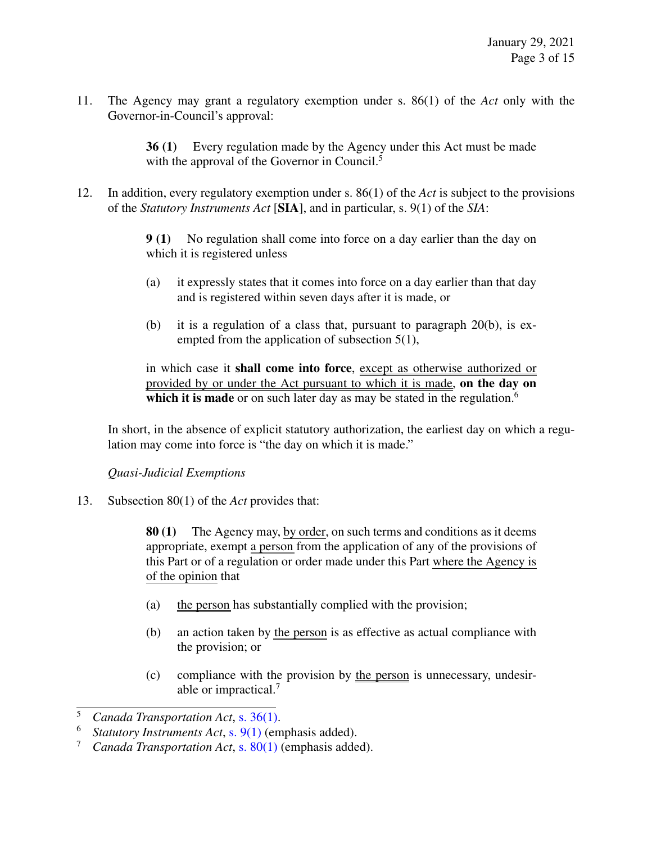11. The Agency may grant a regulatory exemption under s. 86(1) of the *Act* only with the Governor-in-Council's approval:

> 36 (1) Every regulation made by the Agency under this Act must be made with the approval of the Governor in Council.<sup>5</sup>

12. In addition, every regulatory exemption under s. 86(1) of the *Act* is subject to the provisions of the *Statutory Instruments Act* [SIA], and in particular, s. 9(1) of the *SIA*:

> 9 (1) No regulation shall come into force on a day earlier than the day on which it is registered unless

- (a) it expressly states that it comes into force on a day earlier than that day and is registered within seven days after it is made, or
- (b) it is a regulation of a class that, pursuant to paragraph 20(b), is exempted from the application of subsection 5(1),

in which case it shall come into force, except as otherwise authorized or provided by or under the Act pursuant to which it is made, on the day on which it is made or on such later day as may be stated in the regulation.<sup>6</sup>

In short, in the absence of explicit statutory authorization, the earliest day on which a regulation may come into force is "the day on which it is made."

## *Quasi-Judicial Exemptions*

13. Subsection 80(1) of the *Act* provides that:

80 (1) The Agency may, by order, on such terms and conditions as it deems appropriate, exempt a person from the application of any of the provisions of this Part or of a regulation or order made under this Part where the Agency is of the opinion that

- (a) the person has substantially complied with the provision;
- (b) an action taken by the person is as effective as actual compliance with the provision; or
- (c) compliance with the provision by the person is unnecessary, undesirable or impractical.<sup>7</sup>

<sup>5</sup> *Canada Transportation Act*, [s. 36\(1\).](https://www.canlii.org/en/ca/laws/stat/sc-1996-c-10/latest/sc-1996-c-10.html#sec36)

<sup>&</sup>lt;sup>6</sup> *Statutory Instruments Act*, s.  $9(1)$  (emphasis added).<br><sup>7</sup> *Canada Transportation Act* s.  $80(1)$  (emphasis adde

<sup>7</sup> *Canada Transportation Act*, [s. 80\(1\)](https://www.canlii.org/en/ca/laws/stat/sc-1996-c-10/latest/sc-1996-c-10.html#sec80) (emphasis added).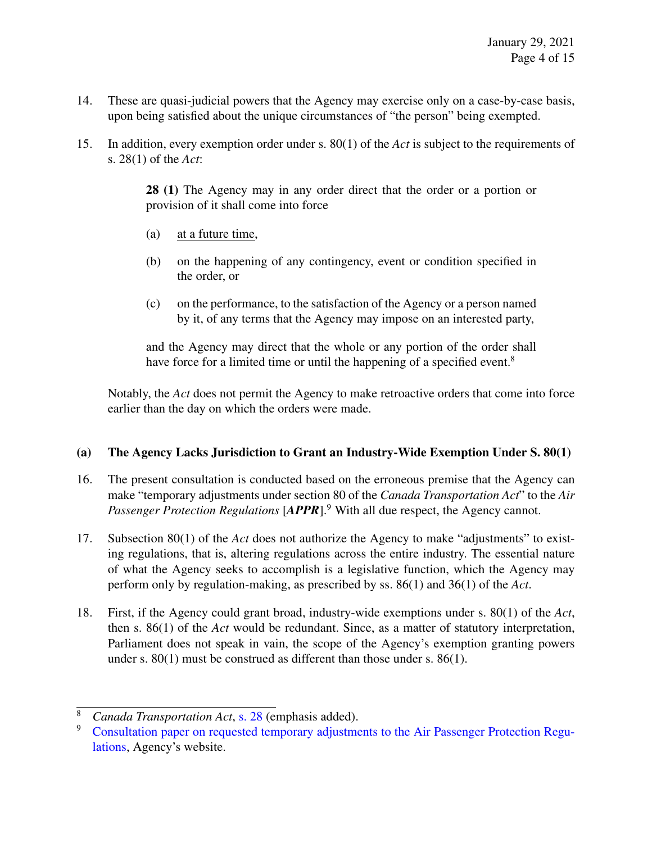- 14. These are quasi-judicial powers that the Agency may exercise only on a case-by-case basis, upon being satisfied about the unique circumstances of "the person" being exempted.
- 15. In addition, every exemption order under s. 80(1) of the *Act* is subject to the requirements of s. 28(1) of the *Act*:

28 (1) The Agency may in any order direct that the order or a portion or provision of it shall come into force

- (a) at a future time,
- (b) on the happening of any contingency, event or condition specified in the order, or
- (c) on the performance, to the satisfaction of the Agency or a person named by it, of any terms that the Agency may impose on an interested party,

and the Agency may direct that the whole or any portion of the order shall have force for a limited time or until the happening of a specified event.<sup>8</sup>

Notably, the *Act* does not permit the Agency to make retroactive orders that come into force earlier than the day on which the orders were made.

## (a) The Agency Lacks Jurisdiction to Grant an Industry-Wide Exemption Under S. 80(1)

- 16. The present consultation is conducted based on the erroneous premise that the Agency can make "temporary adjustments under section 80 of the *Canada Transportation Act*" to the *Air Passenger Protection Regulations* [*APPR*].<sup>9</sup> With all due respect, the Agency cannot.
- 17. Subsection 80(1) of the *Act* does not authorize the Agency to make "adjustments" to existing regulations, that is, altering regulations across the entire industry. The essential nature of what the Agency seeks to accomplish is a legislative function, which the Agency may perform only by regulation-making, as prescribed by ss. 86(1) and 36(1) of the *Act*.
- 18. First, if the Agency could grant broad, industry-wide exemptions under s. 80(1) of the *Act*, then s. 86(1) of the *Act* would be redundant. Since, as a matter of statutory interpretation, Parliament does not speak in vain, the scope of the Agency's exemption granting powers under s. 80(1) must be construed as different than those under s. 86(1).

<sup>8</sup> *Canada Transportation Act*, [s. 28](https://www.canlii.org/en/ca/laws/stat/sc-1996-c-10/latest/sc-1996-c-10.html#sec28) (emphasis added).

<sup>9</sup> [Consultation paper on requested temporary adjustments to the Air Passenger Protection Regu](https://otc-cta.gc.ca/eng/consultation-paper-requested-temporary-adjustments-air-passenger-protection-regulations)[lations,](https://otc-cta.gc.ca/eng/consultation-paper-requested-temporary-adjustments-air-passenger-protection-regulations) Agency's website.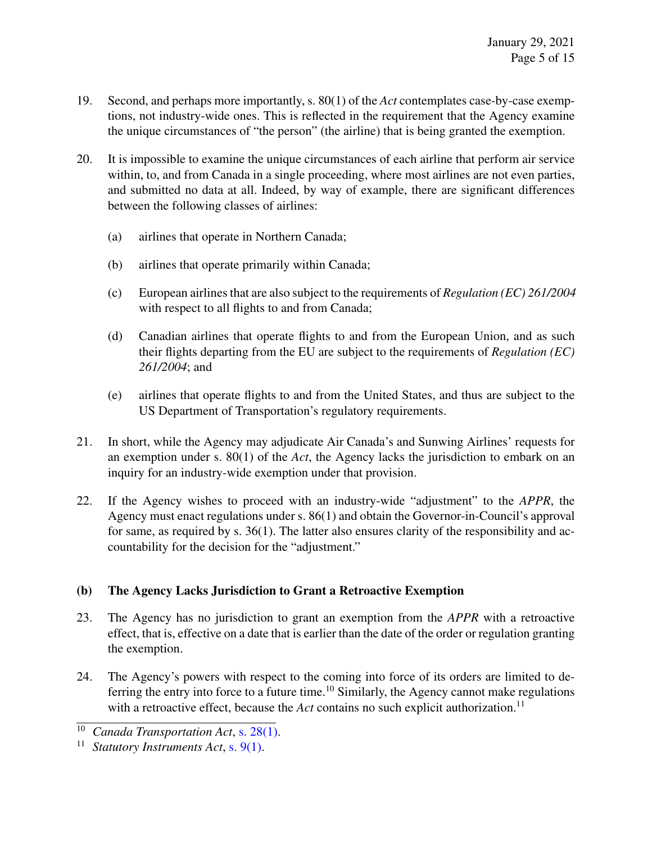- 19. Second, and perhaps more importantly, s. 80(1) of the *Act* contemplates case-by-case exemptions, not industry-wide ones. This is reflected in the requirement that the Agency examine the unique circumstances of "the person" (the airline) that is being granted the exemption.
- 20. It is impossible to examine the unique circumstances of each airline that perform air service within, to, and from Canada in a single proceeding, where most airlines are not even parties, and submitted no data at all. Indeed, by way of example, there are significant differences between the following classes of airlines:
	- (a) airlines that operate in Northern Canada;
	- (b) airlines that operate primarily within Canada;
	- (c) European airlines that are also subject to the requirements of *Regulation (EC) 261/2004* with respect to all flights to and from Canada;
	- (d) Canadian airlines that operate flights to and from the European Union, and as such their flights departing from the EU are subject to the requirements of *Regulation (EC) 261/2004*; and
	- (e) airlines that operate flights to and from the United States, and thus are subject to the US Department of Transportation's regulatory requirements.
- 21. In short, while the Agency may adjudicate Air Canada's and Sunwing Airlines' requests for an exemption under s. 80(1) of the *Act*, the Agency lacks the jurisdiction to embark on an inquiry for an industry-wide exemption under that provision.
- 22. If the Agency wishes to proceed with an industry-wide "adjustment" to the *APPR*, the Agency must enact regulations under s. 86(1) and obtain the Governor-in-Council's approval for same, as required by s. 36(1). The latter also ensures clarity of the responsibility and accountability for the decision for the "adjustment."

## (b) The Agency Lacks Jurisdiction to Grant a Retroactive Exemption

- 23. The Agency has no jurisdiction to grant an exemption from the *APPR* with a retroactive effect, that is, effective on a date that is earlier than the date of the order or regulation granting the exemption.
- 24. The Agency's powers with respect to the coming into force of its orders are limited to deferring the entry into force to a future time.<sup>10</sup> Similarly, the Agency cannot make regulations with a retroactive effect, because the *Act* contains no such explicit authorization.<sup>11</sup>

<sup>10</sup> *Canada Transportation Act*, [s. 28\(1\).](https://www.canlii.org/en/ca/laws/stat/sc-1996-c-10/latest/sc-1996-c-10.html#sec28)

<sup>11</sup> *Statutory Instruments Act*, [s. 9\(1\).](https://www.canlii.org/en/ca/laws/stat/rsc-1985-c-s-22/latest/rsc-1985-c-s-22.html#sec9)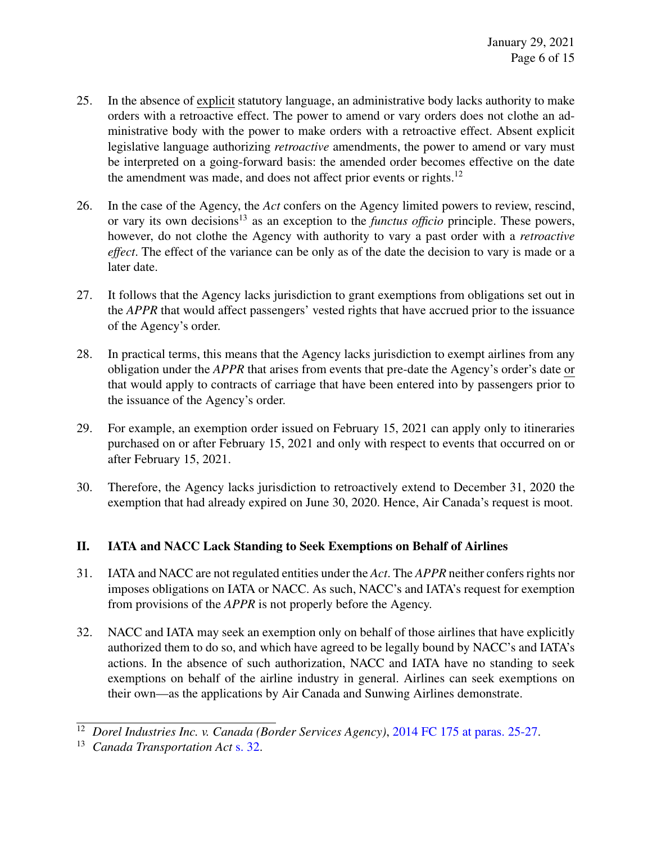- 25. In the absence of explicit statutory language, an administrative body lacks authority to make orders with a retroactive effect. The power to amend or vary orders does not clothe an administrative body with the power to make orders with a retroactive effect. Absent explicit legislative language authorizing *retroactive* amendments, the power to amend or vary must be interpreted on a going-forward basis: the amended order becomes effective on the date the amendment was made, and does not affect prior events or rights.<sup>12</sup>
- 26. In the case of the Agency, the *Act* confers on the Agency limited powers to review, rescind, or vary its own decisions<sup>13</sup> as an exception to the *functus officio* principle. These powers, however, do not clothe the Agency with authority to vary a past order with a *retroactive effect*. The effect of the variance can be only as of the date the decision to vary is made or a later date.
- 27. It follows that the Agency lacks jurisdiction to grant exemptions from obligations set out in the *APPR* that would affect passengers' vested rights that have accrued prior to the issuance of the Agency's order.
- 28. In practical terms, this means that the Agency lacks jurisdiction to exempt airlines from any obligation under the *APPR* that arises from events that pre-date the Agency's order's date or that would apply to contracts of carriage that have been entered into by passengers prior to the issuance of the Agency's order.
- 29. For example, an exemption order issued on February 15, 2021 can apply only to itineraries purchased on or after February 15, 2021 and only with respect to events that occurred on or after February 15, 2021.
- 30. Therefore, the Agency lacks jurisdiction to retroactively extend to December 31, 2020 the exemption that had already expired on June 30, 2020. Hence, Air Canada's request is moot.

# II. IATA and NACC Lack Standing to Seek Exemptions on Behalf of Airlines

- 31. IATA and NACC are not regulated entities under the *Act*. The *APPR* neither confers rights nor imposes obligations on IATA or NACC. As such, NACC's and IATA's request for exemption from provisions of the *APPR* is not properly before the Agency.
- 32. NACC and IATA may seek an exemption only on behalf of those airlines that have explicitly authorized them to do so, and which have agreed to be legally bound by NACC's and IATA's actions. In the absence of such authorization, NACC and IATA have no standing to seek exemptions on behalf of the airline industry in general. Airlines can seek exemptions on their own—as the applications by Air Canada and Sunwing Airlines demonstrate.

<sup>&</sup>lt;sup>12</sup> *Dorel Industries Inc. v. Canada (Border Services Agency)*, [2014 FC 175 at paras. 25-27.](https://www.canlii.org/en/ca/fct/doc/2014/2014fc175/2014fc175.html#par25)

<sup>13</sup> *Canada Transportation Act* [s. 32.](https://www.canlii.org/en/ca/laws/stat/sc-1996-c-10/latest/sc-1996-c-10.html#sec32)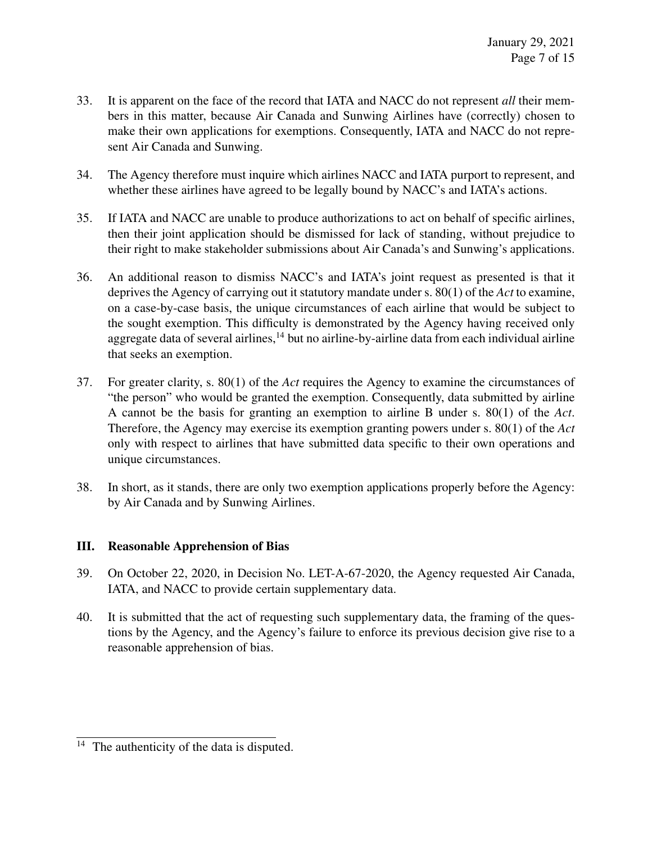- 33. It is apparent on the face of the record that IATA and NACC do not represent *all* their members in this matter, because Air Canada and Sunwing Airlines have (correctly) chosen to make their own applications for exemptions. Consequently, IATA and NACC do not represent Air Canada and Sunwing.
- 34. The Agency therefore must inquire which airlines NACC and IATA purport to represent, and whether these airlines have agreed to be legally bound by NACC's and IATA's actions.
- 35. If IATA and NACC are unable to produce authorizations to act on behalf of specific airlines, then their joint application should be dismissed for lack of standing, without prejudice to their right to make stakeholder submissions about Air Canada's and Sunwing's applications.
- 36. An additional reason to dismiss NACC's and IATA's joint request as presented is that it deprives the Agency of carrying out it statutory mandate under s. 80(1) of the *Act* to examine, on a case-by-case basis, the unique circumstances of each airline that would be subject to the sought exemption. This difficulty is demonstrated by the Agency having received only aggregate data of several airlines,  $^{14}$  but no airline-by-airline data from each individual airline that seeks an exemption.
- 37. For greater clarity, s. 80(1) of the *Act* requires the Agency to examine the circumstances of "the person" who would be granted the exemption. Consequently, data submitted by airline A cannot be the basis for granting an exemption to airline B under s. 80(1) of the *Act*. Therefore, the Agency may exercise its exemption granting powers under s. 80(1) of the *Act* only with respect to airlines that have submitted data specific to their own operations and unique circumstances.
- 38. In short, as it stands, there are only two exemption applications properly before the Agency: by Air Canada and by Sunwing Airlines.

## III. Reasonable Apprehension of Bias

- 39. On October 22, 2020, in Decision No. LET-A-67-2020, the Agency requested Air Canada, IATA, and NACC to provide certain supplementary data.
- 40. It is submitted that the act of requesting such supplementary data, the framing of the questions by the Agency, and the Agency's failure to enforce its previous decision give rise to a reasonable apprehension of bias.

 $\frac{14}{14}$  The authenticity of the data is disputed.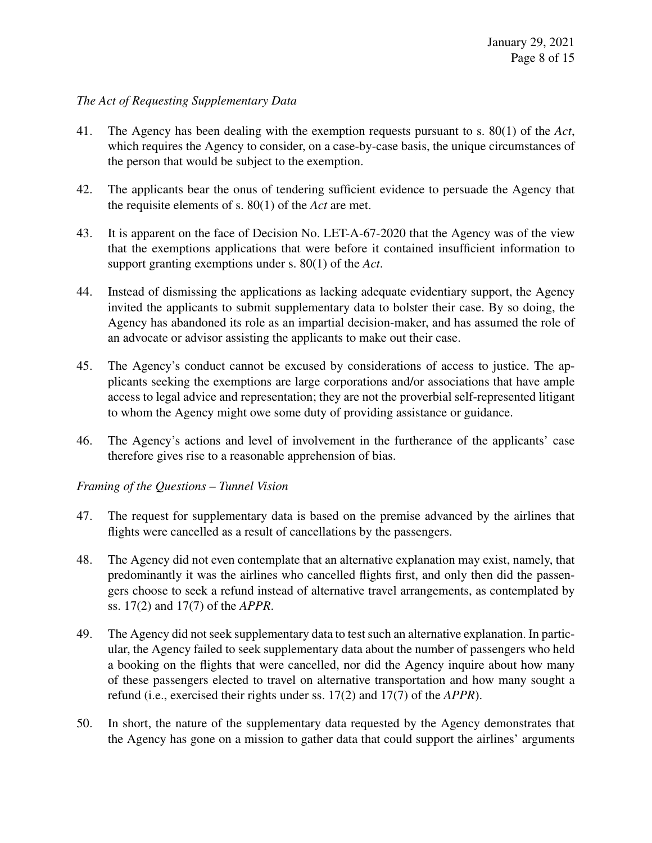#### *The Act of Requesting Supplementary Data*

- 41. The Agency has been dealing with the exemption requests pursuant to s. 80(1) of the *Act*, which requires the Agency to consider, on a case-by-case basis, the unique circumstances of the person that would be subject to the exemption.
- 42. The applicants bear the onus of tendering sufficient evidence to persuade the Agency that the requisite elements of s. 80(1) of the *Act* are met.
- 43. It is apparent on the face of Decision No. LET-A-67-2020 that the Agency was of the view that the exemptions applications that were before it contained insufficient information to support granting exemptions under s. 80(1) of the *Act*.
- 44. Instead of dismissing the applications as lacking adequate evidentiary support, the Agency invited the applicants to submit supplementary data to bolster their case. By so doing, the Agency has abandoned its role as an impartial decision-maker, and has assumed the role of an advocate or advisor assisting the applicants to make out their case.
- 45. The Agency's conduct cannot be excused by considerations of access to justice. The applicants seeking the exemptions are large corporations and/or associations that have ample access to legal advice and representation; they are not the proverbial self-represented litigant to whom the Agency might owe some duty of providing assistance or guidance.
- 46. The Agency's actions and level of involvement in the furtherance of the applicants' case therefore gives rise to a reasonable apprehension of bias.

#### *Framing of the Questions – Tunnel Vision*

- 47. The request for supplementary data is based on the premise advanced by the airlines that flights were cancelled as a result of cancellations by the passengers.
- 48. The Agency did not even contemplate that an alternative explanation may exist, namely, that predominantly it was the airlines who cancelled flights first, and only then did the passengers choose to seek a refund instead of alternative travel arrangements, as contemplated by ss. 17(2) and 17(7) of the *APPR*.
- 49. The Agency did not seek supplementary data to test such an alternative explanation. In particular, the Agency failed to seek supplementary data about the number of passengers who held a booking on the flights that were cancelled, nor did the Agency inquire about how many of these passengers elected to travel on alternative transportation and how many sought a refund (i.e., exercised their rights under ss. 17(2) and 17(7) of the *APPR*).
- 50. In short, the nature of the supplementary data requested by the Agency demonstrates that the Agency has gone on a mission to gather data that could support the airlines' arguments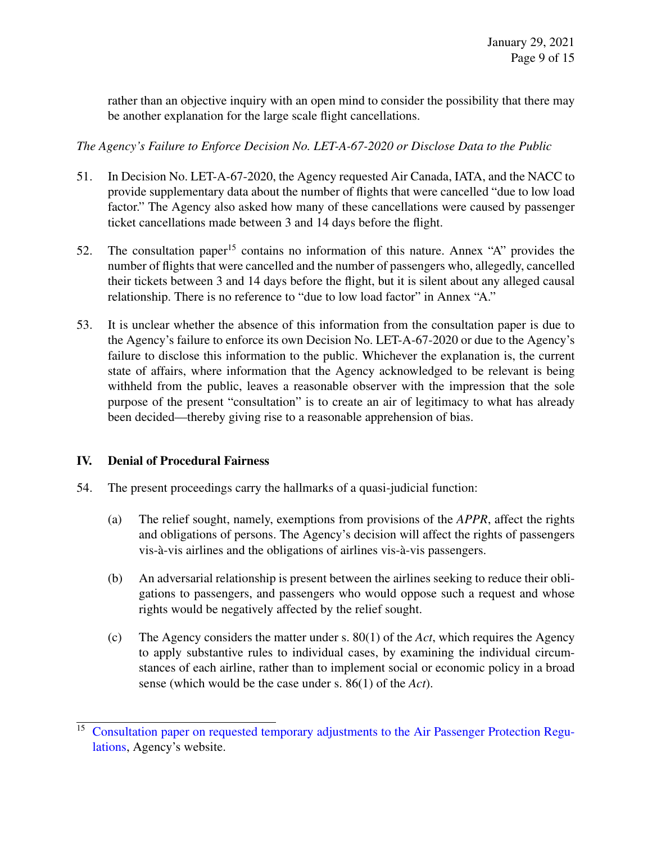rather than an objective inquiry with an open mind to consider the possibility that there may be another explanation for the large scale flight cancellations.

*The Agency's Failure to Enforce Decision No. LET-A-67-2020 or Disclose Data to the Public*

- 51. In Decision No. LET-A-67-2020, the Agency requested Air Canada, IATA, and the NACC to provide supplementary data about the number of flights that were cancelled "due to low load factor." The Agency also asked how many of these cancellations were caused by passenger ticket cancellations made between 3 and 14 days before the flight.
- 52. The consultation paper<sup>15</sup> contains no information of this nature. Annex "A" provides the number of flights that were cancelled and the number of passengers who, allegedly, cancelled their tickets between 3 and 14 days before the flight, but it is silent about any alleged causal relationship. There is no reference to "due to low load factor" in Annex "A."
- 53. It is unclear whether the absence of this information from the consultation paper is due to the Agency's failure to enforce its own Decision No. LET-A-67-2020 or due to the Agency's failure to disclose this information to the public. Whichever the explanation is, the current state of affairs, where information that the Agency acknowledged to be relevant is being withheld from the public, leaves a reasonable observer with the impression that the sole purpose of the present "consultation" is to create an air of legitimacy to what has already been decided—thereby giving rise to a reasonable apprehension of bias.

## IV. Denial of Procedural Fairness

- 54. The present proceedings carry the hallmarks of a quasi-judicial function:
	- (a) The relief sought, namely, exemptions from provisions of the *APPR*, affect the rights and obligations of persons. The Agency's decision will affect the rights of passengers vis-à-vis airlines and the obligations of airlines vis-à-vis passengers.
	- (b) An adversarial relationship is present between the airlines seeking to reduce their obligations to passengers, and passengers who would oppose such a request and whose rights would be negatively affected by the relief sought.
	- (c) The Agency considers the matter under s. 80(1) of the *Act*, which requires the Agency to apply substantive rules to individual cases, by examining the individual circumstances of each airline, rather than to implement social or economic policy in a broad sense (which would be the case under s. 86(1) of the *Act*).

<sup>&</sup>lt;sup>15</sup> [Consultation paper on requested temporary adjustments to the Air Passenger Protection Regu](https://otc-cta.gc.ca/eng/consultation-paper-requested-temporary-adjustments-air-passenger-protection-regulations)[lations,](https://otc-cta.gc.ca/eng/consultation-paper-requested-temporary-adjustments-air-passenger-protection-regulations) Agency's website.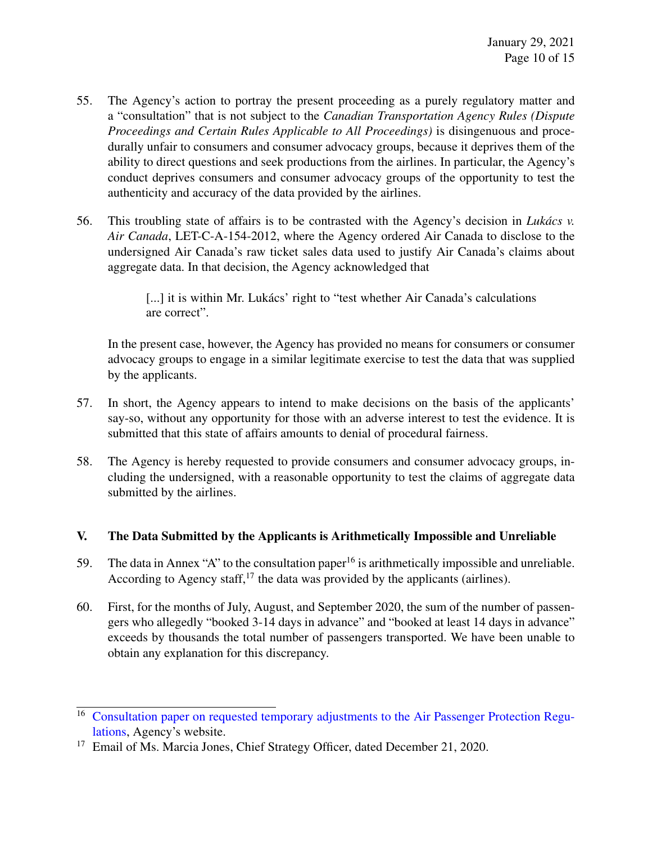- 55. The Agency's action to portray the present proceeding as a purely regulatory matter and a "consultation" that is not subject to the *Canadian Transportation Agency Rules (Dispute Proceedings and Certain Rules Applicable to All Proceedings)* is disingenuous and procedurally unfair to consumers and consumer advocacy groups, because it deprives them of the ability to direct questions and seek productions from the airlines. In particular, the Agency's conduct deprives consumers and consumer advocacy groups of the opportunity to test the authenticity and accuracy of the data provided by the airlines.
- 56. This troubling state of affairs is to be contrasted with the Agency's decision in *Lukács v. Air Canada*, LET-C-A-154-2012, where the Agency ordered Air Canada to disclose to the undersigned Air Canada's raw ticket sales data used to justify Air Canada's claims about aggregate data. In that decision, the Agency acknowledged that

[...] it is within Mr. Lukács' right to "test whether Air Canada's calculations are correct".

In the present case, however, the Agency has provided no means for consumers or consumer advocacy groups to engage in a similar legitimate exercise to test the data that was supplied by the applicants.

- 57. In short, the Agency appears to intend to make decisions on the basis of the applicants' say-so, without any opportunity for those with an adverse interest to test the evidence. It is submitted that this state of affairs amounts to denial of procedural fairness.
- 58. The Agency is hereby requested to provide consumers and consumer advocacy groups, including the undersigned, with a reasonable opportunity to test the claims of aggregate data submitted by the airlines.

## V. The Data Submitted by the Applicants is Arithmetically Impossible and Unreliable

- 59. The data in Annex "A" to the consultation paper<sup>16</sup> is arithmetically impossible and unreliable. According to Agency staff,  $17$  the data was provided by the applicants (airlines).
- 60. First, for the months of July, August, and September 2020, the sum of the number of passengers who allegedly "booked 3-14 days in advance" and "booked at least 14 days in advance" exceeds by thousands the total number of passengers transported. We have been unable to obtain any explanation for this discrepancy.

<sup>&</sup>lt;sup>16</sup> [Consultation paper on requested temporary adjustments to the Air Passenger Protection Regu](https://otc-cta.gc.ca/eng/consultation-paper-requested-temporary-adjustments-air-passenger-protection-regulations)[lations,](https://otc-cta.gc.ca/eng/consultation-paper-requested-temporary-adjustments-air-passenger-protection-regulations) Agency's website.

<sup>&</sup>lt;sup>17</sup> Email of Ms. Marcia Jones, Chief Strategy Officer, dated December 21, 2020.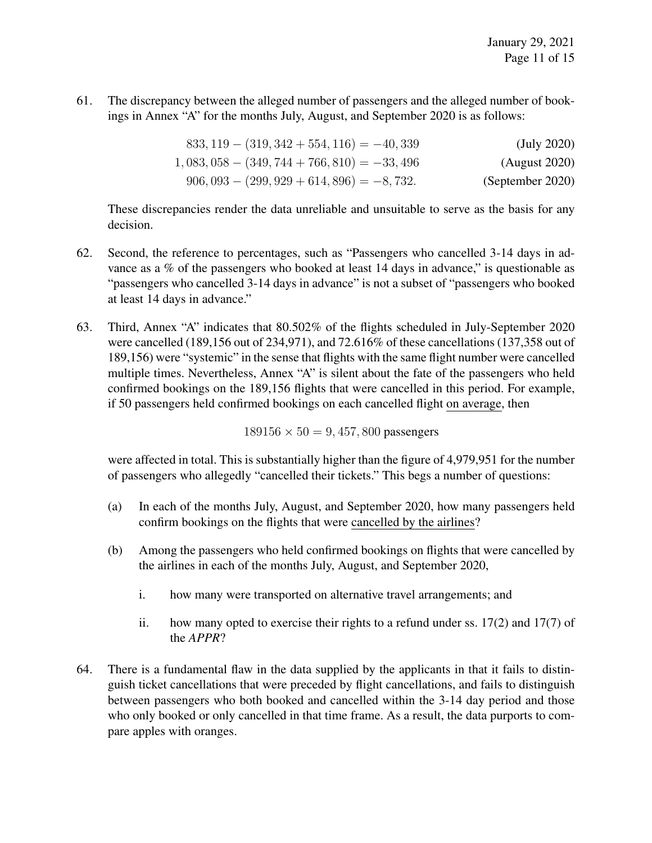61. The discrepancy between the alleged number of passengers and the alleged number of bookings in Annex "A" for the months July, August, and September 2020 is as follows:

| (July 2020)      | $833, 119 - (319, 342 + 554, 116) = -40,339$ |
|------------------|----------------------------------------------|
| (August 2020)    | $1,083,058 - (349,744 + 766,810) = -33,496$  |
| (September 2020) | $906,093 - (299,929 + 614,896) = -8,732.$    |

These discrepancies render the data unreliable and unsuitable to serve as the basis for any decision.

- 62. Second, the reference to percentages, such as "Passengers who cancelled 3-14 days in advance as a % of the passengers who booked at least 14 days in advance," is questionable as "passengers who cancelled 3-14 days in advance" is not a subset of "passengers who booked at least 14 days in advance."
- 63. Third, Annex "A" indicates that 80.502% of the flights scheduled in July-September 2020 were cancelled (189,156 out of 234,971), and 72.616% of these cancellations (137,358 out of 189,156) were "systemic" in the sense that flights with the same flight number were cancelled multiple times. Nevertheless, Annex "A" is silent about the fate of the passengers who held confirmed bookings on the 189,156 flights that were cancelled in this period. For example, if 50 passengers held confirmed bookings on each cancelled flight on average, then

 $189156 \times 50 = 9,457,800$  passengers

were affected in total. This is substantially higher than the figure of 4,979,951 for the number of passengers who allegedly "cancelled their tickets." This begs a number of questions:

- (a) In each of the months July, August, and September 2020, how many passengers held confirm bookings on the flights that were cancelled by the airlines?
- (b) Among the passengers who held confirmed bookings on flights that were cancelled by the airlines in each of the months July, August, and September 2020,
	- i. how many were transported on alternative travel arrangements; and
	- ii. how many opted to exercise their rights to a refund under ss. 17(2) and 17(7) of the *APPR*?
- 64. There is a fundamental flaw in the data supplied by the applicants in that it fails to distinguish ticket cancellations that were preceded by flight cancellations, and fails to distinguish between passengers who both booked and cancelled within the 3-14 day period and those who only booked or only cancelled in that time frame. As a result, the data purports to compare apples with oranges.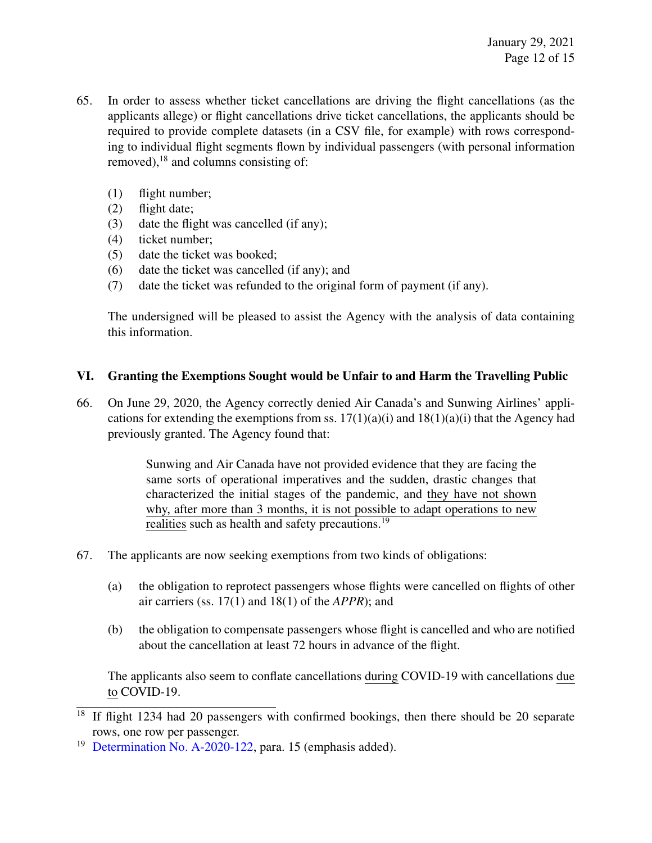- 65. In order to assess whether ticket cancellations are driving the flight cancellations (as the applicants allege) or flight cancellations drive ticket cancellations, the applicants should be required to provide complete datasets (in a CSV file, for example) with rows corresponding to individual flight segments flown by individual passengers (with personal information removed), $^{18}$  and columns consisting of:
	- (1) flight number;
	- (2) flight date;
	- (3) date the flight was cancelled (if any);
	- (4) ticket number;
	- (5) date the ticket was booked;
	- (6) date the ticket was cancelled (if any); and
	- (7) date the ticket was refunded to the original form of payment (if any).

The undersigned will be pleased to assist the Agency with the analysis of data containing this information.

## VI. Granting the Exemptions Sought would be Unfair to and Harm the Travelling Public

66. On June 29, 2020, the Agency correctly denied Air Canada's and Sunwing Airlines' applications for extending the exemptions from ss.  $17(1)(a)(i)$  and  $18(1)(a)(i)$  that the Agency had previously granted. The Agency found that:

> Sunwing and Air Canada have not provided evidence that they are facing the same sorts of operational imperatives and the sudden, drastic changes that characterized the initial stages of the pandemic, and they have not shown why, after more than 3 months, it is not possible to adapt operations to new realities such as health and safety precautions.<sup>19</sup>

- 67. The applicants are now seeking exemptions from two kinds of obligations:
	- (a) the obligation to reprotect passengers whose flights were cancelled on flights of other air carriers (ss. 17(1) and 18(1) of the *APPR*); and
	- (b) the obligation to compensate passengers whose flight is cancelled and who are notified about the cancellation at least 72 hours in advance of the flight.

The applicants also seem to conflate cancellations during COVID-19 with cancellations due to COVID-19.

 $\frac{18}{18}$  If flight 1234 had 20 passengers with confirmed bookings, then there should be 20 separate rows, one row per passenger.

<sup>&</sup>lt;sup>19</sup> [Determination No. A-2020-122,](https://otc-cta.gc.ca/eng/ruling/a-2020-122) para. 15 (emphasis added).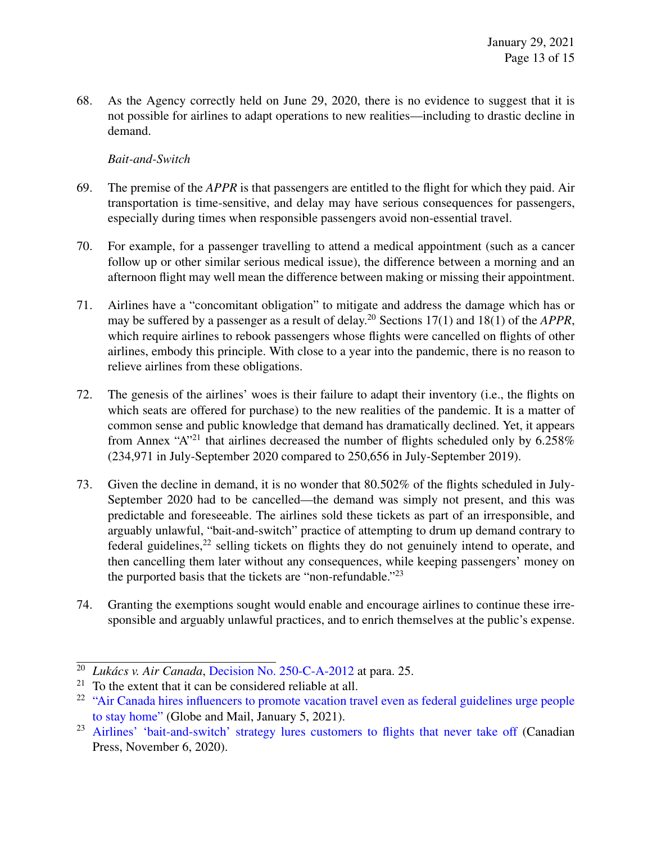68. As the Agency correctly held on June 29, 2020, there is no evidence to suggest that it is not possible for airlines to adapt operations to new realities—including to drastic decline in demand.

#### *Bait-and-Switch*

- 69. The premise of the *APPR* is that passengers are entitled to the flight for which they paid. Air transportation is time-sensitive, and delay may have serious consequences for passengers, especially during times when responsible passengers avoid non-essential travel.
- 70. For example, for a passenger travelling to attend a medical appointment (such as a cancer follow up or other similar serious medical issue), the difference between a morning and an afternoon flight may well mean the difference between making or missing their appointment.
- 71. Airlines have a "concomitant obligation" to mitigate and address the damage which has or may be suffered by a passenger as a result of delay.<sup>20</sup> Sections 17(1) and 18(1) of the *APPR*, which require airlines to rebook passengers whose flights were cancelled on flights of other airlines, embody this principle. With close to a year into the pandemic, there is no reason to relieve airlines from these obligations.
- 72. The genesis of the airlines' woes is their failure to adapt their inventory (i.e., the flights on which seats are offered for purchase) to the new realities of the pandemic. It is a matter of common sense and public knowledge that demand has dramatically declined. Yet, it appears from Annex "A"<sup>21</sup> that airlines decreased the number of flights scheduled only by 6.258% (234,971 in July-September 2020 compared to 250,656 in July-September 2019).
- 73. Given the decline in demand, it is no wonder that 80.502% of the flights scheduled in July-September 2020 had to be cancelled—the demand was simply not present, and this was predictable and foreseeable. The airlines sold these tickets as part of an irresponsible, and arguably unlawful, "bait-and-switch" practice of attempting to drum up demand contrary to federal guidelines,  $2^2$  selling tickets on flights they do not genuinely intend to operate, and then cancelling them later without any consequences, while keeping passengers' money on the purported basis that the tickets are "non-refundable."<sup>23</sup>
- 74. Granting the exemptions sought would enable and encourage airlines to continue these irresponsible and arguably unlawful practices, and to enrich themselves at the public's expense.

<sup>20</sup> *Lukács v. Air Canada*, [Decision No. 250-C-A-2012](https://otc-cta.gc.ca/eng/ruling/250-c-a-2012) at para. 25.

 $21$  To the extent that it can be considered reliable at all.

<sup>&</sup>lt;sup>22</sup> ["Air Canada hires influencers to promote vacation travel even as federal guidelines urge people](https://www.theglobeandmail.com/politics/article-air-canada-hires-influencers-to-promote-vacation-travel/) [to stay home"](https://www.theglobeandmail.com/politics/article-air-canada-hires-influencers-to-promote-vacation-travel/) (Globe and Mail, January 5, 2021).

<sup>&</sup>lt;sup>23</sup> [Airlines' 'bait-and-switch' strategy lures customers to flights that never take off](https://www.thestar.com/business/2020/11/06/airlines-bait-and-switch-strategy-lures-customers-to-flights-that-never-take-off.html) (Canadian Press, November 6, 2020).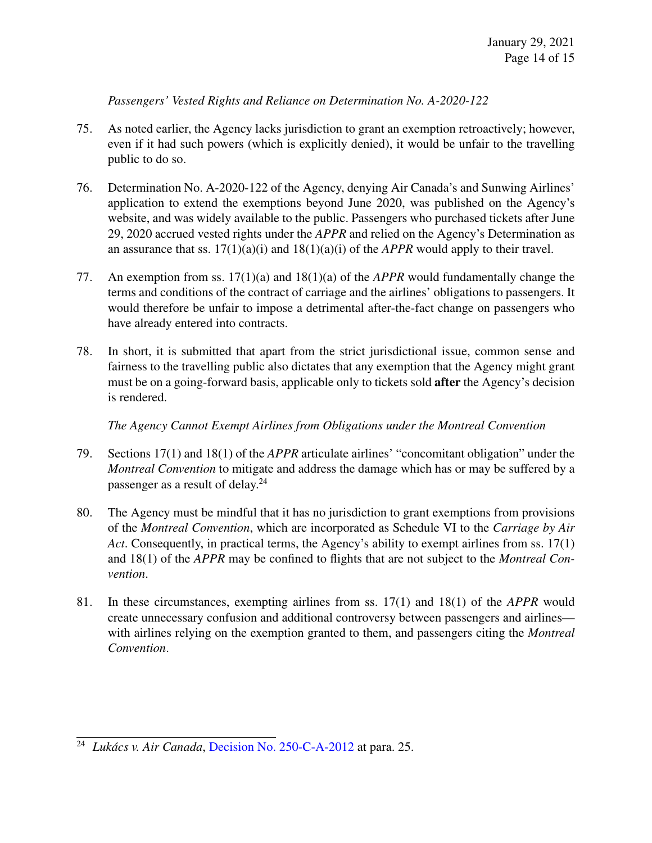*Passengers' Vested Rights and Reliance on Determination No. A-2020-122*

- 75. As noted earlier, the Agency lacks jurisdiction to grant an exemption retroactively; however, even if it had such powers (which is explicitly denied), it would be unfair to the travelling public to do so.
- 76. Determination No. A-2020-122 of the Agency, denying Air Canada's and Sunwing Airlines' application to extend the exemptions beyond June 2020, was published on the Agency's website, and was widely available to the public. Passengers who purchased tickets after June 29, 2020 accrued vested rights under the *APPR* and relied on the Agency's Determination as an assurance that ss. 17(1)(a)(i) and 18(1)(a)(i) of the *APPR* would apply to their travel.
- 77. An exemption from ss. 17(1)(a) and 18(1)(a) of the *APPR* would fundamentally change the terms and conditions of the contract of carriage and the airlines' obligations to passengers. It would therefore be unfair to impose a detrimental after-the-fact change on passengers who have already entered into contracts.
- 78. In short, it is submitted that apart from the strict jurisdictional issue, common sense and fairness to the travelling public also dictates that any exemption that the Agency might grant must be on a going-forward basis, applicable only to tickets sold after the Agency's decision is rendered.

*The Agency Cannot Exempt Airlines from Obligations under the Montreal Convention*

- 79. Sections 17(1) and 18(1) of the *APPR* articulate airlines' "concomitant obligation" under the *Montreal Convention* to mitigate and address the damage which has or may be suffered by a passenger as a result of delay.<sup>24</sup>
- 80. The Agency must be mindful that it has no jurisdiction to grant exemptions from provisions of the *Montreal Convention*, which are incorporated as Schedule VI to the *Carriage by Air Act*. Consequently, in practical terms, the Agency's ability to exempt airlines from ss. 17(1) and 18(1) of the *APPR* may be confined to flights that are not subject to the *Montreal Convention*.
- 81. In these circumstances, exempting airlines from ss. 17(1) and 18(1) of the *APPR* would create unnecessary confusion and additional controversy between passengers and airlines with airlines relying on the exemption granted to them, and passengers citing the *Montreal Convention*.

<sup>24</sup> *Lukács v. Air Canada*, [Decision No. 250-C-A-2012](https://otc-cta.gc.ca/eng/ruling/250-c-a-2012) at para. 25.